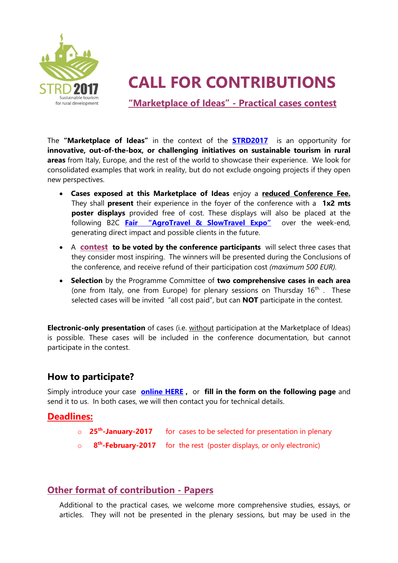

# **CALL FOR CONTRIBUTIONS**

**"Marketplace of Ideas" - Practical cases contest**

The **"Marketplace of Ideas"** in the context of the **[STRD2017](http://strd2017.org/)** is an opportunity for **innovative, out-of-the-box, or challenging initiatives on sustainable tourism in rural areas** from Italy, Europe, and the rest of the world to showcase their experience. We look for consolidated examples that work in reality, but do not exclude ongoing projects if they open new perspectives.

- **Cases exposed at this Marketplace of Ideas** enjoy a **reduced Conference Fee.** They shall **present** their experience in the foyer of the conference with a **1x2 mts poster displays** provided free of cost. These displays will also be placed at the following B2C **[Fair "AgroTravel & SlowTravel Expo"](http://www.agritravelexpo.it/en/)** over the week-end, generating direct impact and possible clients in the future.
- A **contest to be voted by the conference participants** will select three cases that they consider most inspiring. The winners will be presented during the Conclusions of the conference, and receive refund of their participation cost *(maximum 500 EUR).*
- **Selection** by the Programme Committee of **two comprehensive cases in each area** (one from Italy, one from Europe) for plenary sessions on Thursday  $16<sup>th</sup>$ . These selected cases will be invited "all cost paid", but can **NOT** participate in the contest.

**Electronic-only presentation** of cases (i.e. without participation at the Marketplace of Ideas) is possible. These cases will be included in the conference documentation, but cannot participate in the contest.

## **How to participate?**

Simply introduce your case **[online HERE](https://goo.gl/forms/q3HGKMVS1yaNCZtk1) ,** or **fill in the form on the following page** and send it to us. In both cases, we will then contact you for technical details.

### **Deadlines:**

- o **25th -January-2017** for cases to be selected for presentation in plenary
- o **8 th -February-2017** for the rest (poster displays, or only electronic)

## **Other format of contribution - Papers**

Additional to the practical cases, we welcome more comprehensive studies, essays, or articles. They will not be presented in the plenary sessions, but may be used in the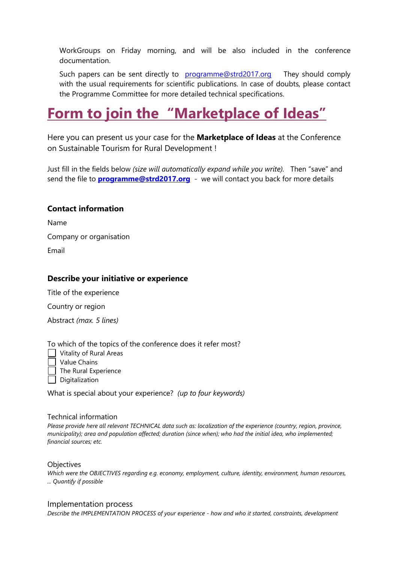WorkGroups on Friday morning, and will be also included in the conference documentation.

Such papers can be sent directly to [programme@strd2017.org](mailto:programme@strd2017.org) They should comply with the usual requirements for scientific publications. In case of doubts, please contact the Programme Committee for more detailed technical specifications.

## **Form to join the "Marketplace of Ideas"**

Here you can present us your case for the **Marketplace of Ideas** at the Conference on Sustainable Tourism for Rural Development !

Just fill in the fields below *(size will automatically expand while you write).* Then "save" and send the file to **[programme@strd2017.org](mailto:programme@strd2017.org)** - we will contact you back for more details

#### **Contact information**

Name

Company or organisation

Email

#### **Describe your initiative or experience**

Title of the experience

Country or region

Abstract *(max. 5 lines)*

To which of the topics of the conference does it refer most?

**Vitality of Rural Areas** 

Value Chains

The Rural Experience

Digitalization

What is special about your experience? *(up to four keywords)*

#### Technical information

*Please provide here all relevant TECHNICAL data such as: localization of the experience (country, region, province, municipality); area and population affected; duration (since when); who had the initial idea, who implemented; financial sources; etc.*

**Objectives** 

*Which were the OBJECTIVES regarding e.g. economy, employment, culture, identity, environment, human resources, ... Quantify if possible*

#### Implementation process

*Describe the IMPLEMENTATION PROCESS of your experience - how and who it started, constraints, development*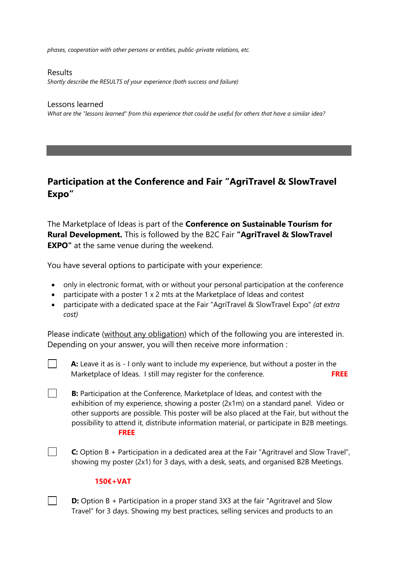*phases, cooperation with other persons or entities, public-private relations, etc.*

Results *Shortly describe the RESULTS of your experience (both success and failure)*

Lessons learned *What are the "lessons learned" from this experience that could be useful for others that have a similar idea?*

## **Participation at the Conference and Fair "AgriTravel & SlowTravel Expo"**

The Marketplace of Ideas is part of the **Conference on Sustainable Tourism for Rural Development.** This is followed by the B2C Fair **"AgriTravel & SlowTravel EXPO"** at the same venue during the weekend.

You have several options to participate with your experience:

- only in electronic format, with or without your personal participation at the conference
- participate with a poster 1 x 2 mts at the Marketplace of Ideas and contest
- participate with a dedicated space at the Fair "AgriTravel & SlowTravel Expo" *(at extra cost)*

Please indicate (without any obligation) which of the following you are interested in. Depending on your answer, you will then receive more information :

- **A:** Leave it as is I only want to include my experience, but without a poster in the Marketplace of Ideas. I still may register for the conference. **FREE**
- **B:** Participation at the Conference, Marketplace of Ideas, and contest with the exhibition of my experience, showing a poster (2x1m) on a standard panel. Video or other supports are possible. This poster will be also placed at the Fair, but without the possibility to attend it, distribute information material, or participate in B2B meetings. **FREE**

**C:** Option B + Participation in a dedicated area at the Fair "Agritravel and Slow Travel", showing my poster (2x1) for 3 days, with a desk, seats, and organised B2B Meetings.

#### **150€+VAT**

 $\mathcal{L}^{\text{max}}$ 

 $\mathcal{L}^{\mathcal{L}}$ 

 $\mathbf{1}$ 

**D:** Option B + Participation in a proper stand 3X3 at the fair "Agritravel and Slow Travel" for 3 days. Showing my best practices, selling services and products to an